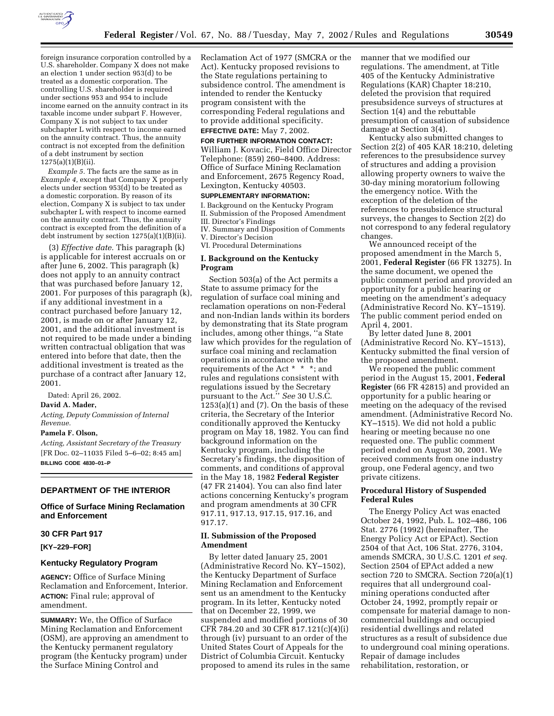

foreign insurance corporation controlled by a U.S. shareholder. Company X does not make an election 1 under section 953(d) to be treated as a domestic corporation. The controlling U.S. shareholder is required under sections 953 and 954 to include income earned on the annuity contract in its taxable income under subpart F. However, Company X is not subject to tax under subchapter L with respect to income earned on the annuity contract. Thus, the annuity contract is not excepted from the definition of a debt instrument by section 1275(a)(1)(B)(ii).

*Example 5.* The facts are the same as in *Example 4,* except that Company X properly elects under section 953(d) to be treated as a domestic corporation. By reason of its election, Company X is subject to tax under subchapter L with respect to income earned on the annuity contract. Thus, the annuity contract is excepted from the definition of a debt instrument by section 1275(a)(1)(B)(ii).

(3) *Effective date.* This paragraph (k) is applicable for interest accruals on or after June 6, 2002. This paragraph (k) does not apply to an annuity contract that was purchased before January 12, 2001. For purposes of this paragraph (k), if any additional investment in a contract purchased before January 12, 2001, is made on or after January 12, 2001, and the additional investment is not required to be made under a binding written contractual obligation that was entered into before that date, then the additional investment is treated as the purchase of a contract after January 12, 2001.

Dated: April 26, 2002.

### **David A. Mader,**

*Acting, Deputy Commission of Internal Revenue.*

#### **Pamela F. Olson,**

*Acting, Assistant Secretary of the Treasury* [FR Doc. 02–11035 Filed 5–6–02; 8:45 am] **BILLING CODE 4830–01–P**

# **DEPARTMENT OF THE INTERIOR**

# **Office of Surface Mining Reclamation and Enforcement**

### **30 CFR Part 917**

**[KY–229–FOR]**

### **Kentucky Regulatory Program**

**AGENCY:** Office of Surface Mining Reclamation and Enforcement, Interior. **ACTION:** Final rule; approval of amendment.

**SUMMARY:** We, the Office of Surface Mining Reclamation and Enforcement (OSM), are approving an amendment to the Kentucky permanent regulatory program (the Kentucky program) under the Surface Mining Control and

Reclamation Act of 1977 (SMCRA or the Act). Kentucky proposed revisions to the State regulations pertaining to subsidence control. The amendment is intended to render the Kentucky program consistent with the corresponding Federal regulations and to provide additional specificity.

### **EFFECTIVE DATE:** May 7, 2002.

**FOR FURTHER INFORMATION CONTACT:** William J. Kovacic, Field Office Director Telephone: (859) 260–8400. Address: Office of Surface Mining Reclamation and Enforcement, 2675 Regency Road, Lexington, Kentucky 40503.

#### **SUPPLEMENTARY INFORMATION:**

I. Background on the Kentucky Program II. Submission of the Proposed Amendment III. Director's Findings IV. Summary and Disposition of Comments V. Director's Decision

VI. Procedural Determinations

# **I. Background on the Kentucky Program**

Section 503(a) of the Act permits a State to assume primacy for the regulation of surface coal mining and reclamation operations on non-Federal and non-Indian lands within its borders by demonstrating that its State program includes, among other things, ''a State law which provides for the regulation of surface coal mining and reclamation operations in accordance with the requirements of the Act \* \* \*; and rules and regulations consistent with regulations issued by the Secretary pursuant to the Act.'' *See* 30 U.S.C.  $1253(a)(1)$  and  $(7)$ . On the basis of these criteria, the Secretary of the Interior conditionally approved the Kentucky program on May 18, 1982. You can find background information on the Kentucky program, including the Secretary's findings, the disposition of comments, and conditions of approval in the May 18, 1982 **Federal Register** (47 FR 21404). You can also find later actions concerning Kentucky's program and program amendments at 30 CFR 917.11, 917.13, 917.15, 917.16, and 917.17.

# **II. Submission of the Proposed Amendment**

By letter dated January 25, 2001 (Administrative Record No. KY–1502), the Kentucky Department of Surface Mining Reclamation and Enforcement sent us an amendment to the Kentucky program. In its letter, Kentucky noted that on December 22, 1999, we suspended and modified portions of 30 CFR 784.20 and 30 CFR 817.121(c)(4)(i) through (iv) pursuant to an order of the United States Court of Appeals for the District of Columbia Circuit. Kentucky proposed to amend its rules in the same manner that we modified our regulations. The amendment, at Title 405 of the Kentucky Administrative Regulations (KAR) Chapter 18:210, deleted the provision that required presubsidence surveys of structures at Section 1(4) and the rebuttable presumption of causation of subsidence damage at Section 3(4).

Kentucky also submitted changes to Section 2(2) of 405 KAR 18:210, deleting references to the presubsidence survey of structures and adding a provision allowing property owners to waive the 30-day mining moratorium following the emergency notice. With the exception of the deletion of the references to presubsidence structural surveys, the changes to Section 2(2) do not correspond to any federal regulatory changes.

We announced receipt of the proposed amendment in the March 5, 2001, **Federal Register** (66 FR 13275). In the same document, we opened the public comment period and provided an opportunity for a public hearing or meeting on the amendment's adequacy (Administrative Record No. KY–1519). The public comment period ended on April 4, 2001.

By letter dated June 8, 2001 (Administrative Record No. KY–1513), Kentucky submitted the final version of the proposed amendment.

We reopened the public comment period in the August 15, 2001, **Federal Register** (66 FR 42815) and provided an opportunity for a public hearing or meeting on the adequacy of the revised amendment. (Administrative Record No. KY–1515). We did not hold a public hearing or meeting because no one requested one. The public comment period ended on August 30, 2001. We received comments from one industry group, one Federal agency, and two private citizens.

### **Procedural History of Suspended Federal Rules**

The Energy Policy Act was enacted October 24, 1992, Pub. L. 102–486, 106 Stat. 2776 (1992) (hereinafter, The Energy Policy Act or EPAct). Section 2504 of that Act, 106 Stat. 2776, 3104, amends SMCRA, 30 U.S.C. 1201 *et seq.* Section 2504 of EPAct added a new section 720 to SMCRA. Section 720(a)(1) requires that all underground coalmining operations conducted after October 24, 1992, promptly repair or compensate for material damage to noncommercial buildings and occupied residential dwellings and related structures as a result of subsidence due to underground coal mining operations. Repair of damage includes rehabilitation, restoration, or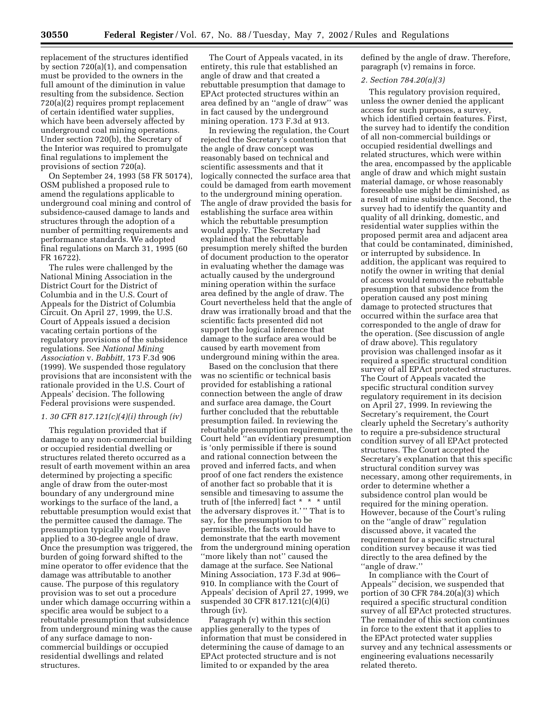replacement of the structures identified by section 720(a)(1), and compensation must be provided to the owners in the full amount of the diminution in value resulting from the subsidence. Section 720(a)(2) requires prompt replacement of certain identified water supplies, which have been adversely affected by underground coal mining operations. Under section 720(b), the Secretary of the Interior was required to promulgate final regulations to implement the provisions of section 720(a).

On September 24, 1993 (58 FR 50174), OSM published a proposed rule to amend the regulations applicable to underground coal mining and control of subsidence-caused damage to lands and structures through the adoption of a number of permitting requirements and performance standards. We adopted final regulations on March 31, 1995 (60 FR 16722).

The rules were challenged by the National Mining Association in the District Court for the District of Columbia and in the U.S. Court of Appeals for the District of Columbia Circuit. On April 27, 1999, the U.S. Court of Appeals issued a decision vacating certain portions of the regulatory provisions of the subsidence regulations. See *National Mining Association* v. *Babbitt,* 173 F.3d 906 (1999). We suspended those regulatory provisions that are inconsistent with the rationale provided in the U.S. Court of Appeals' decision. The following Federal provisions were suspended.

### *1. 30 CFR 817.121(c)(4)(i) through (iv)*

This regulation provided that if damage to any non-commercial building or occupied residential dwelling or structures related thereto occurred as a result of earth movement within an area determined by projecting a specific angle of draw from the outer-most boundary of any underground mine workings to the surface of the land, a rebuttable presumption would exist that the permittee caused the damage. The presumption typically would have applied to a 30-degree angle of draw. Once the presumption was triggered, the burden of going forward shifted to the mine operator to offer evidence that the damage was attributable to another cause. The purpose of this regulatory provision was to set out a procedure under which damage occurring within a specific area would be subject to a rebuttable presumption that subsidence from underground mining was the cause of any surface damage to noncommercial buildings or occupied residential dwellings and related structures.

The Court of Appeals vacated, in its entirety, this rule that established an angle of draw and that created a rebuttable presumption that damage to EPAct protected structures within an area defined by an ''angle of draw'' was in fact caused by the underground mining operation. 173 F.3d at 913.

In reviewing the regulation, the Court rejected the Secretary's contention that the angle of draw concept was reasonably based on technical and scientific assessments and that it logically connected the surface area that could be damaged from earth movement to the underground mining operation. The angle of draw provided the basis for establishing the surface area within which the rebuttable presumption would apply. The Secretary had explained that the rebuttable presumption merely shifted the burden of document production to the operator in evaluating whether the damage was actually caused by the underground mining operation within the surface area defined by the angle of draw. The Court nevertheless held that the angle of draw was irrationally broad and that the scientific facts presented did not support the logical inference that damage to the surface area would be caused by earth movement from underground mining within the area.

Based on the conclusion that there was no scientific or technical basis provided for establishing a rational connection between the angle of draw and surface area damage, the Court further concluded that the rebuttable presumption failed. In reviewing the rebuttable presumption requirement, the Court held ''an evidentiary presumption is 'only permissible if there is sound and rational connection between the proved and inferred facts, and when proof of one fact renders the existence of another fact so probable that it is sensible and timesaving to assume the truth of [the inferred] fact \* \* \* until the adversary disproves it.' '' That is to say, for the presumption to be permissible, the facts would have to demonstrate that the earth movement from the underground mining operation ''more likely than not'' caused the damage at the surface. See National Mining Association, 173 F.3d at 906– 910. In compliance with the Court of Appeals' decision of April 27, 1999, we suspended 30 CFR 817.121(c)(4)(i) through (iv).

Paragraph (v) within this section applies generally to the types of information that must be considered in determining the cause of damage to an EPAct protected structure and is not limited to or expanded by the area

defined by the angle of draw. Therefore, paragraph (v) remains in force.

#### *2. Section 784.20(a)(3)*

This regulatory provision required, unless the owner denied the applicant access for such purposes, a survey, which identified certain features. First, the survey had to identify the condition of all non-commercial buildings or occupied residential dwellings and related structures, which were within the area, encompassed by the applicable angle of draw and which might sustain material damage, or whose reasonably foreseeable use might be diminished, as a result of mine subsidence. Second, the survey had to identify the quantity and quality of all drinking, domestic, and residential water supplies within the proposed permit area and adjacent area that could be contaminated, diminished, or interrupted by subsidence. In addition, the applicant was required to notify the owner in writing that denial of access would remove the rebuttable presumption that subsidence from the operation caused any post mining damage to protected structures that occurred within the surface area that corresponded to the angle of draw for the operation. (See discussion of angle of draw above). This regulatory provision was challenged insofar as it required a specific structural condition survey of all EPAct protected structures. The Court of Appeals vacated the specific structural condition survey regulatory requirement in its decision on April 27, 1999. In reviewing the Secretary's requirement, the Court clearly upheld the Secretary's authority to require a pre-subsidence structural condition survey of all EPAct protected structures. The Court accepted the Secretary's explanation that this specific structural condition survey was necessary, among other requirements, in order to determine whether a subsidence control plan would be required for the mining operation. However, because of the Court's ruling on the ''angle of draw'' regulation discussed above, it vacated the requirement for a specific structural condition survey because it was tied directly to the area defined by the ''angle of draw.''

In compliance with the Court of Appeals'' decision, we suspended that portion of 30 CFR 784.20(a)(3) which required a specific structural condition survey of all EPAct protected structures. The remainder of this section continues in force to the extent that it applies to the EPAct protected water supplies survey and any technical assessments or engineering evaluations necessarily related thereto.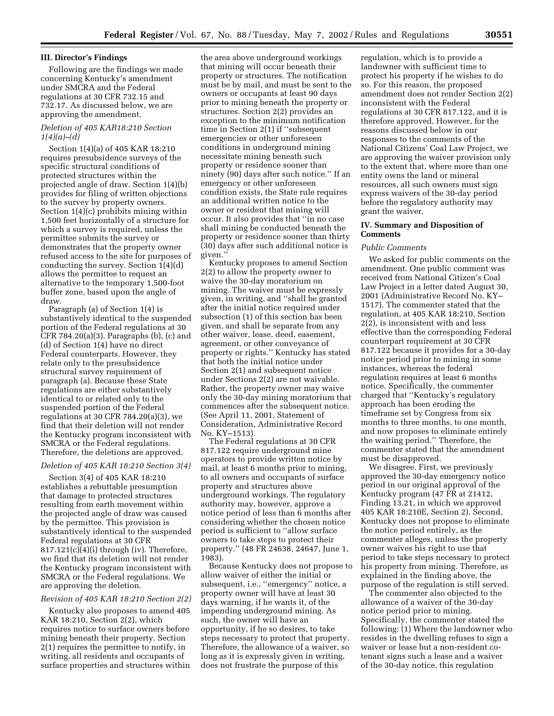### **III. Director's Findings**

Following are the findings we made concerning Kentucky's amendment under SMCRA and the Federal regulations at 30 CFR 732.15 and 732.17. As discussed below, we are approving the amendment.

# *Deletion of 405 KAR18:210 Section 1(4)(a)–(d)*

Section 1(4)(a) of 405 KAR 18:210 requires presubsidence surveys of the specific structural conditions of protected structures within the projected angle of draw. Section 1(4)(b) provides for filing of written objections to the survey by property owners. Section 1(4)(c) prohibits mining within 1,500 feet horizontally of a structure for which a survey is required, unless the permittee submits the survey or demonstrates that the property owner refused access to the site for purposes of conducting the survey. Section 1(4)(d) allows the permittee to request an alternative to the temporary 1,500-foot buffer zone, based upon the angle of draw.

Paragraph (a) of Section 1(4) is substantively identical to the suspended portion of the Federal regulations at 30 CFR 784.20(a)(3). Paragraphs (b), (c) and (d) of Section 1(4) have no direct Federal counterparts. However, they relate only to the presubsidence structural survey requirement of paragraph (a). Because these State regulations are either substantively identical to or related only to the suspended portion of the Federal regulations at 30 CFR 784.20(a)(3), we find that their deletion will not render the Kentucky program inconsistent with SMCRA or the Federal regulations. Therefore, the deletions are approved.

### *Deletion of 405 KAR 18:210 Section 3(4)*

Section 3(4) of 405 KAR 18:210 establishes a rebuttable presumption that damage to protected structures resulting from earth movement within the projected angle of draw was caused by the permittee. This provision is substantively identical to the suspended Federal regulations at 30 CFR  $817.121(c)(4)(i)$  through (iv). Therefore, we find that its deletion will not render the Kentucky program inconsistent with SMCRA or the Federal regulations. We are approving the deletion.

# *Revision of 405 KAR 18:210 Section 2(2)*

Kentucky also proposes to amend 405 KAR 18:210, Section 2(2), which requires notice to surface owners before mining beneath their property. Section 2(1) requires the permittee to notify, in writing, all residents and occupants of surface properties and structures within

the area above underground workings that mining will occur beneath their property or structures. The notification must be by mail, and must be sent to the owners or occupants at least 90 days prior to mining beneath the property or structures. Section 2(2) provides an exception to the minimum notification time in Section 2(1) if ''subsequent emergencies or other unforeseen conditions in underground mining necessitate mining beneath such property or residence sooner than ninety (90) days after such notice.'' If an emergency or other unforeseen condition exists, the State rule requires an additional written notice to the owner or resident that mining will occur. It also provides that ''in no case shall mining be conducted beneath the property or residence sooner than thirty (30) days after such additional notice is given.''

Kentucky proposes to amend Section 2(2) to allow the property owner to waive the 30-day moratorium on mining. The waiver must be expressly given, in writing, and ''shall be granted after the initial notice required under subsection (1) of this section has been given, and shall be separate from any other waiver, lease, deed, easement, agreement, or other conveyance of property or rights.'' Kentucky has stated that both the initial notice under Section 2(1) and subsequent notice under Sections 2(2) are not waivable. Rather, the property owner may waive only the 30-day mining moratorium that commences after the subsequent notice. (See April 11, 2001, Statement of Consideration, Administrative Record No. KY–1513).

The Federal regulations at 30 CFR 817.122 require underground mine operators to provide written notice by mail, at least 6 months prior to mining, to all owners and occupants of surface property and structures above underground workings. The regulatory authority may, however, approve a notice period of less than 6 months after considering whether the chosen notice period is sufficient to ''allow surface owners to take steps to protect their property.'' (48 FR 24638, 24647, June 1, 1983).

Because Kentucky does not propose to allow waiver of either the initial or subsequent, i.e., ''emergency'' notice, a property owner will have at least 30 days warning, if he wants it, of the impending underground mining. As such, the owner will have an opportunity, if he so desires, to take steps necessary to protect that property. Therefore, the allowance of a waiver, so long as it is expressly given in writing, does not frustrate the purpose of this

regulation, which is to provide a landowner with sufficient time to protect his property if he wishes to do so. For this reason, the proposed amendment does not render Section 2(2) inconsistent with the Federal regulations at 30 CFR 817.122, and it is therefore approved. However, for the reasons discussed below in our responses to the comments of the National Citizens' Coal Law Project, we are approving the waiver provision only to the extent that, where more than one entity owns the land or mineral resources, all such owners must sign express waivers of the 30-day period before the regulatory authority may grant the waiver.

### **IV. Summary and Disposition of Comments**

### *Public Comments*

We asked for public comments on the amendment. One public comment was received from National Citizen's Coal Law Project in a letter dated August 30, 2001 (Administrative Record No. KY– 1517). The commenter stated that the regulation, at 405 KAR 18:210, Section 2(2), is inconsistent with and less effective than the corresponding Federal counterpart requirement at 30 CFR 817.122 because it provides for a 30-day notice period prior to mining in some instances, whereas the federal regulation requires at least 6 months notice. Specifically, the commenter charged that ''Kentucky's regulatory approach has been eroding the timeframe set by Congress from six months to three months, to one month, and now proposes to eliminate entirely the waiting period.'' Therefore, the commenter stated that the amendment must be disapproved.

We disagree. First, we previously approved the 30-day emergency notice period in our original approval of the Kentucky program (47 FR at 21412, Finding 13.21, in which we approved 405 KAR 18:210E, Section 2). Second, Kentucky does not propose to eliminate the notice period entirely, as the commenter alleges, unless the property owner waives his right to use that period to take steps necessary to protect his property from mining. Therefore, as explained in the finding above, the purpose of the regulation is still served.

The commenter also objected to the allowance of a waiver of the 30-day notice period prior to mining. Specifically, the commenter stated the following: (1) Where the landowner who resides in the dwelling refuses to sign a waiver or lease but a non-resident cotenant signs such a lease and a waiver of the 30-day notice, this regulation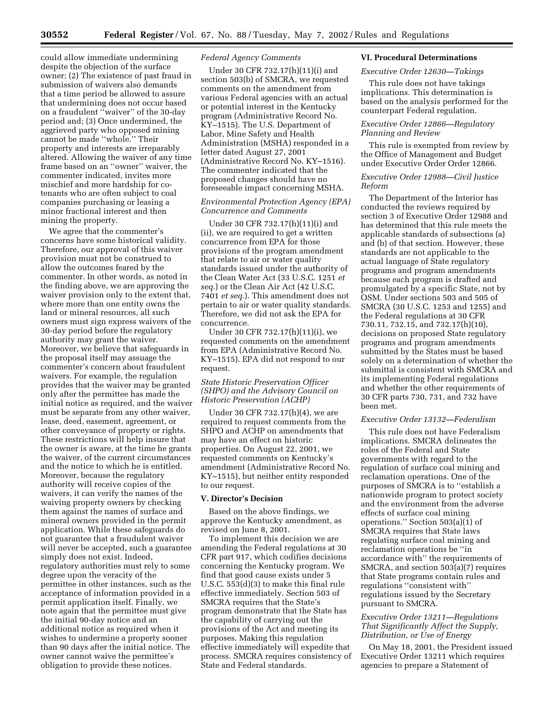could allow immediate undermining despite the objection of the surface owner; (2) The existence of past fraud in submission of waivers also demands that a time period be allowed to assure that undermining does not occur based on a fraudulent ''waiver'' of the 30-day period and; (3) Once undermined, the aggrieved party who opposed mining cannot be made ''whole.'' Their property and interests are irreparably altered. Allowing the waiver of any time frame based on an ''owner'' waiver, the commenter indicated, invites more mischief and more hardship for cotenants who are often subject to coal companies purchasing or leasing a minor fractional interest and then mining the property.

We agree that the commenter's concerns have some historical validity. Therefore, our approval of this waiver provision must not be construed to allow the outcomes feared by the commenter. In other words, as noted in the finding above, we are approving the waiver provision only to the extent that, where more than one entity owns the land or mineral resources, all such owners must sign express waivers of the 30-day period before the regulatory authority may grant the waiver. Moreover, we believe that safeguards in the proposal itself may assuage the commenter's concern about fraudulent waivers. For example, the regulation provides that the waiver may be granted only after the permittee has made the initial notice as required, and the waiver must be separate from any other waiver, lease, deed, easement, agreement, or other conveyance of property or rights. These restrictions will help insure that the owner is aware, at the time he grants the waiver, of the current circumstances and the notice to which he is entitled. Moreover, because the regulatory authority will receive copies of the waivers, it can verify the names of the waiving property owners by checking them against the names of surface and mineral owners provided in the permit application. While these safeguards do not guarantee that a fraudulent waiver will never be accepted, such a guarantee simply does not exist. Indeed, regulatory authorities must rely to some degree upon the veracity of the permittee in other instances, such as the acceptance of information provided in a permit application itself. Finally, we note again that the permittee must give the initial 90-day notice and an additional notice as required when it wishes to undermine a property sooner than 90 days after the initial notice. The owner cannot waive the permittee's obligation to provide these notices.

# *Federal Agency Comments*

Under 30 CFR 732.17(h)(11)(i) and section 503(b) of SMCRA, we requested comments on the amendment from various Federal agencies with an actual or potential interest in the Kentucky program (Administrative Record No. KY–1515). The U.S. Department of Labor, Mine Safety and Health Administration (MSHA) responded in a letter dated August 27, 2001 (Administrative Record No. KY–1516). The commenter indicated that the proposed changes should have no foreseeable impact concerning MSHA.

# *Environmental Protection Agency (EPA) Concurrence and Comments*

Under 30 CFR 732.17(h)(11)(i) and (ii), we are required to get a written concurrence from EPA for those provisions of the program amendment that relate to air or water quality standards issued under the authority of the Clean Water Act (33 U.S.C. 1251 *et seq.*) or the Clean Air Act (42 U.S.C. 7401 *et seq.*). This amendment does not pertain to air or water quality standards. Therefore, we did not ask the EPA for concurrence.

Under 30 CFR 732.17(h)(11)(i), we requested comments on the amendment from EPA (Administrative Record No. KY–1515). EPA did not respond to our request.

# *State Historic Preservation Officer (SHPO) and the Advisory Council on Historic Preservation (ACHP)*

Under 30 CFR 732.17(h)(4), we are required to request comments from the SHPO and ACHP on amendments that may have an effect on historic properties. On August 22, 2001, we requested comments on Kentucky's amendment (Administrative Record No. KY–1515), but neither entity responded to our request.

### **V. Director's Decision**

Based on the above findings, we approve the Kentucky amendment, as revised on June 8, 2001.

To implement this decision we are amending the Federal regulations at 30 CFR part 917, which codifies decisions concerning the Kentucky program. We find that good cause exists under 5 U.S.C. 553(d)(3) to make this final rule effective immediately. Section 503 of SMCRA requires that the State's program demonstrate that the State has the capability of carrying out the provisions of the Act and meeting its purposes. Making this regulation effective immediately will expedite that process. SMCRA requires consistency of State and Federal standards.

### **VI. Procedural Determinations**

# *Executive Order 12630—Takings*

This rule does not have takings implications. This determination is based on the analysis performed for the counterpart Federal regulation.

# *Executive Order 12866—Regulatory Planning and Review*

This rule is exempted from review by the Office of Management and Budget under Executive Order Order 12866.

# *Executive Order 12988—Civil Justice Reform*

The Department of the Interior has conducted the reviews required by section 3 of Executive Order 12988 and has determined that this rule meets the applicable standards of subsections (a) and (b) of that section. However, these standards are not applicable to the actual language of State regulatory programs and program amendments because each program is drafted and promulgated by a specific State, not by OSM. Under sections 503 and 505 of SMCRA (30 U.S.C. 1253 and 1255) and the Federal regulations at 30 CFR 730.11, 732.15, and 732.17(h)(10), decisions on proposed State regulatory programs and program amendments submitted by the States must be based solely on a determination of whether the submittal is consistent with SMCRA and its implementing Federal regulations and whether the other requirements of 30 CFR parts 730, 731, and 732 have been met.

### *Executive Order 13132—Federalism*

This rule does not have Federalism implications. SMCRA delineates the roles of the Federal and State governments with regard to the regulation of surface coal mining and reclamation operations. One of the purposes of SMCRA is to ''establish a nationwide program to protect society and the environment from the adverse effects of surface coal mining operations.'' Section 503(a)(1) of SMCRA requires that State laws regulating surface coal mining and reclamation operations be ''in accordance with'' the requirements of SMCRA, and section 503(a)(7) requires that State programs contain rules and regulations ''consistent with'' regulations issued by the Secretary pursuant to SMCRA.

# *Executive Order 13211—Regulations That Significantly Affect the Supply, Distribution, or Use of Energy*

On May 18, 2001, the President issued Executive Order 13211 which requires agencies to prepare a Statement of